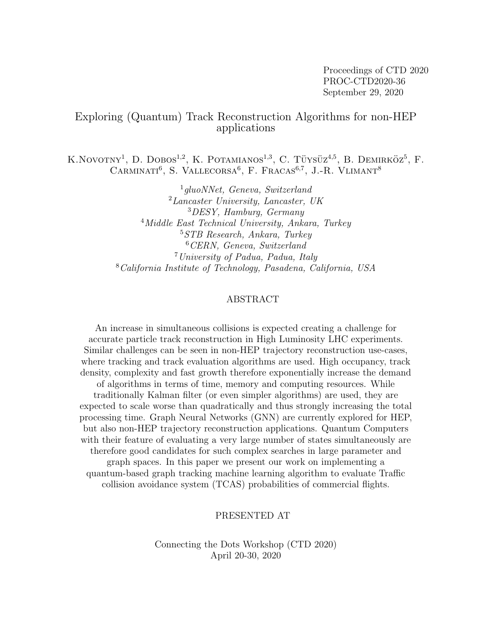Proceedings of CTD 2020 PROC-CTD2020-36 September 29, 2020

## Exploring (Quantum) Track Reconstruction Algorithms for non-HEP applications

K.NOVOTNY<sup>1</sup>, D. DOBOS<sup>1,2</sup>, K. POTAMIANOS<sup>1,3</sup>, C. TÜYSÜZ<sup>4,5</sup>, B. DEMIRKÖZ<sup>5</sup>, F. CARMINATI<sup>6</sup>, S. VALLECORSA<sup>6</sup>, F. FRACAS<sup>6,7</sup>, J.-R. VLIMANT<sup>8</sup>

> gluoNNet, Geneva, Switzerland  $^{2}$ Lancaster University, Lancaster, UK DESY, Hamburg, Germany <sup>4</sup>Middle East Technical University, Ankara, Turkey STB Research, Ankara, Turkey CERN, Geneva, Switzerland University of Padua, Padua, Italy California Institute of Technology, Pasadena, California, USA

### ABSTRACT

An increase in simultaneous collisions is expected creating a challenge for accurate particle track reconstruction in High Luminosity LHC experiments. Similar challenges can be seen in non-HEP trajectory reconstruction use-cases, where tracking and track evaluation algorithms are used. High occupancy, track density, complexity and fast growth therefore exponentially increase the demand of algorithms in terms of time, memory and computing resources. While traditionally Kalman filter (or even simpler algorithms) are used, they are expected to scale worse than quadratically and thus strongly increasing the total processing time. Graph Neural Networks (GNN) are currently explored for HEP, but also non-HEP trajectory reconstruction applications. Quantum Computers with their feature of evaluating a very large number of states simultaneously are therefore good candidates for such complex searches in large parameter and graph spaces. In this paper we present our work on implementing a quantum-based graph tracking machine learning algorithm to evaluate Traffic collision avoidance system (TCAS) probabilities of commercial flights.

### PRESENTED AT

Connecting the Dots Workshop (CTD 2020) April 20-30, 2020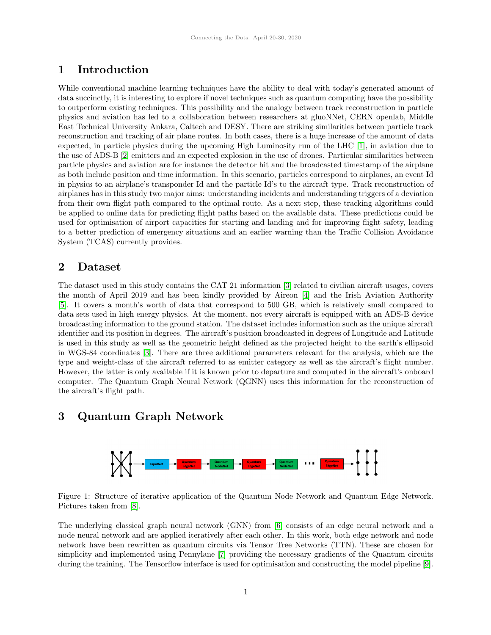# 1 Introduction

While conventional machine learning techniques have the ability to deal with today's generated amount of data succinctly, it is interesting to explore if novel techniques such as quantum computing have the possibility to outperform existing techniques. This possibility and the analogy between track reconstruction in particle physics and aviation has led to a collaboration between researchers at gluoNNet, CERN openlab, Middle East Technical University Ankara, Caltech and DESY. There are striking similarities between particle track reconstruction and tracking of air plane routes. In both cases, there is a huge increase of the amount of data expected, in particle physics during the upcoming High Luminosity run of the LHC [\[1\]](#page-3-0), in aviation due to the use of ADS-B [\[2\]](#page-3-1) emitters and an expected explosion in the use of drones. Particular similarities between particle physics and aviation are for instance the detector hit and the broadcasted timestamp of the airplane as both include position and time information. In this scenario, particles correspond to airplanes, an event Id in physics to an airplane's transponder Id and the particle Id's to the aircraft type. Track reconstruction of airplanes has in this study two major aims: understanding incidents and understanding triggers of a deviation from their own flight path compared to the optimal route. As a next step, these tracking algorithms could be applied to online data for predicting flight paths based on the available data. These predictions could be used for optimisation of airport capacities for starting and landing and for improving flight safety, leading to a better prediction of emergency situations and an earlier warning than the Traffic Collision Avoidance System (TCAS) currently provides.

### 2 Dataset

The dataset used in this study contains the CAT 21 information [\[3\]](#page-3-2) related to civilian aircraft usages, covers the month of April 2019 and has been kindly provided by Aireon [\[4\]](#page-3-3) and the Irish Aviation Authority [\[5\]](#page-3-4). It covers a month's worth of data that correspond to 500 GB, which is relatively small compared to data sets used in high energy physics. At the moment, not every aircraft is equipped with an ADS-B device broadcasting information to the ground station. The dataset includes information such as the unique aircraft identifier and its position in degrees. The aircraft's position broadcasted in degrees of Longitude and Latitude is used in this study as well as the geometric height defined as the projected height to the earth's ellipsoid in WGS-84 coordinates [\[3\]](#page-3-2). There are three additional parameters relevant for the analysis, which are the type and weight-class of the aircraft referred to as emitter category as well as the aircraft's flight number. However, the latter is only available if it is known prior to departure and computed in the aircraft's onboard computer. The Quantum Graph Neural Network (QGNN) uses this information for the reconstruction of the aircraft's flight path.

## <span id="page-1-0"></span>3 Quantum Graph Network



Figure 1: Structure of iterative application of the Quantum Node Network and Quantum Edge Network. Pictures taken from [\[8\]](#page-3-5).

The underlying classical graph neural network (GNN) from [\[6\]](#page-3-6) consists of an edge neural network and a node neural network and are applied iteratively after each other. In this work, both edge network and node network have been rewritten as quantum circuits via Tensor Tree Networks (TTN). These are chosen for simplicity and implemented using Pennylane [\[7\]](#page-3-7) providing the necessary gradients of the Quantum circuits during the training. The Tensorflow interface is used for optimisation and constructing the model pipeline [\[9\]](#page-3-8).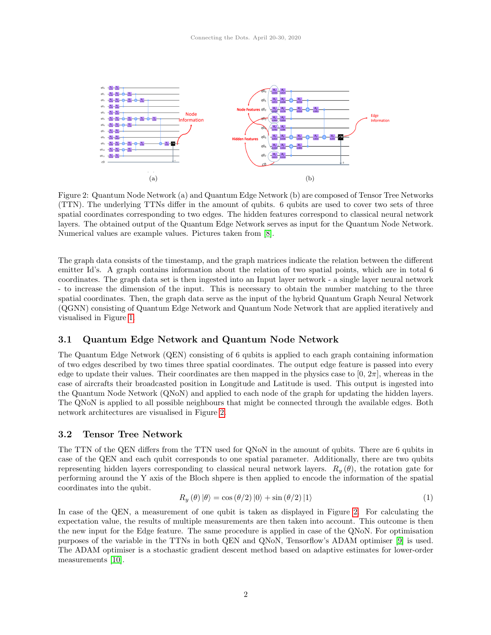<span id="page-2-0"></span>

Figure 2: Quantum Node Network (a) and Quantum Edge Network (b) are composed of Tensor Tree Networks (TTN). The underlying TTNs differ in the amount of qubits. 6 qubits are used to cover two sets of three spatial coordinates corresponding to two edges. The hidden features correspond to classical neural network layers. The obtained output of the Quantum Edge Network serves as input for the Quantum Node Network. Numerical values are example values. Pictures taken from [\[8\]](#page-3-5).

The graph data consists of the timestamp, and the graph matrices indicate the relation between the different emitter Id's. A graph contains information about the relation of two spatial points, which are in total 6 coordinates. The graph data set is then ingested into an Input layer network - a single layer neural network - to increase the dimension of the input. This is necessary to obtain the number matching to the three spatial coordinates. Then, the graph data serve as the input of the hybrid Quantum Graph Neural Network (QGNN) consisting of Quantum Edge Network and Quantum Node Network that are applied iteratively and visualised in Figure [1.](#page-1-0)

#### 3.1 Quantum Edge Network and Quantum Node Network

The Quantum Edge Network (QEN) consisting of 6 qubits is applied to each graph containing information of two edges described by two times three spatial coordinates. The output edge feature is passed into every edge to update their values. Their coordinates are then mapped in the physics case to  $[0, 2\pi]$ , whereas in the case of aircrafts their broadcasted position in Longitude and Latitude is used. This output is ingested into the Quantum Node Network (QNoN) and applied to each node of the graph for updating the hidden layers. The QNoN is applied to all possible neighbours that might be connected through the available edges. Both network architectures are visualised in Figure [2.](#page-2-0)

#### 3.2 Tensor Tree Network

The TTN of the QEN differs from the TTN used for QNoN in the amount of qubits. There are 6 qubits in case of the QEN and each qubit corresponds to one spatial parameter. Additionally, there are two qubits representing hidden layers corresponding to classical neural network layers.  $R_y(\theta)$ , the rotation gate for performing around the Y axis of the Bloch shpere is then applied to encode the information of the spatial coordinates into the qubit.

$$
R_y(\theta) \, |\theta\rangle = \cos(\theta/2) \, |0\rangle + \sin(\theta/2) \, |1\rangle \tag{1}
$$

In case of the QEN, a measurement of one qubit is taken as displayed in Figure [2.](#page-2-0) For calculating the expectation value, the results of multiple measurements are then taken into account. This outcome is then the new input for the Edge feature. The same procedure is applied in case of the QNoN. For optimisation purposes of the variable in the TTNs in both QEN and QNoN, Tensorflow's ADAM optimiser [\[9\]](#page-3-8) is used. The ADAM optimiser is a stochastic gradient descent method based on adaptive estimates for lower-order measurements [\[10\]](#page-3-9).